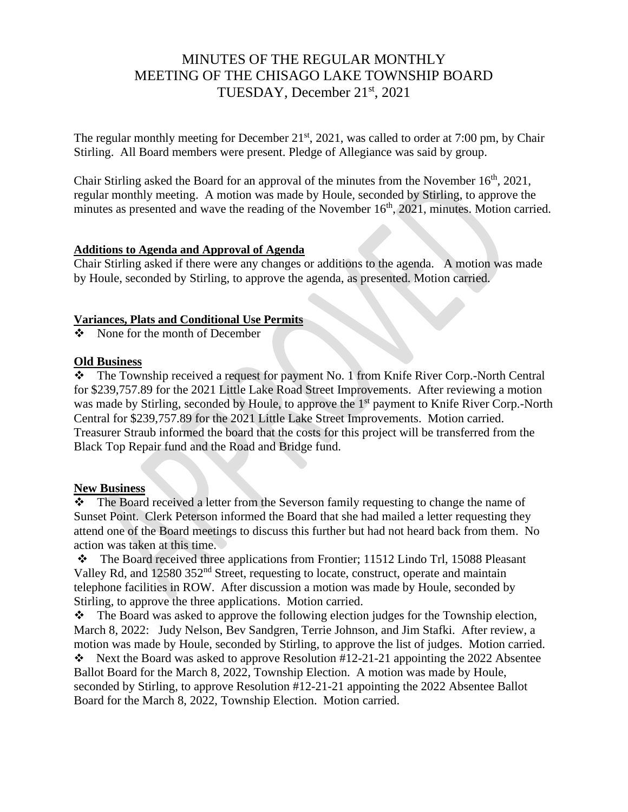# MINUTES OF THE REGULAR MONTHLY MEETING OF THE CHISAGO LAKE TOWNSHIP BOARD TUESDAY, December 21st, 2021

The regular monthly meeting for December  $21<sup>st</sup>$ , 2021, was called to order at 7:00 pm, by Chair Stirling. All Board members were present. Pledge of Allegiance was said by group.

Chair Stirling asked the Board for an approval of the minutes from the November  $16<sup>th</sup>$ , 2021, regular monthly meeting. A motion was made by Houle, seconded by Stirling, to approve the minutes as presented and wave the reading of the November 16<sup>th</sup>, 2021, minutes. Motion carried.

#### **Additions to Agenda and Approval of Agenda**

Chair Stirling asked if there were any changes or additions to the agenda. A motion was made by Houle, seconded by Stirling, to approve the agenda, as presented. Motion carried.

#### **Variances, Plats and Conditional Use Permits**

❖ None for the month of December

#### **Old Business**

❖ The Township received a request for payment No. 1 from Knife River Corp.-North Central for \$239,757.89 for the 2021 Little Lake Road Street Improvements. After reviewing a motion was made by Stirling, seconded by Houle, to approve the 1<sup>st</sup> payment to Knife River Corp.-North Central for \$239,757.89 for the 2021 Little Lake Street Improvements. Motion carried. Treasurer Straub informed the board that the costs for this project will be transferred from the Black Top Repair fund and the Road and Bridge fund.

# **New Business**

❖ The Board received a letter from the Severson family requesting to change the name of Sunset Point. Clerk Peterson informed the Board that she had mailed a letter requesting they attend one of the Board meetings to discuss this further but had not heard back from them. No action was taken at this time.

❖ The Board received three applications from Frontier; 11512 Lindo Trl, 15088 Pleasant Valley Rd, and 12580 352<sup>nd</sup> Street, requesting to locate, construct, operate and maintain telephone facilities in ROW. After discussion a motion was made by Houle, seconded by Stirling, to approve the three applications. Motion carried.

❖ The Board was asked to approve the following election judges for the Township election, March 8, 2022: Judy Nelson, Bev Sandgren, Terrie Johnson, and Jim Stafki. After review, a motion was made by Houle, seconded by Stirling, to approve the list of judges. Motion carried.

❖ Next the Board was asked to approve Resolution #12-21-21 appointing the 2022 Absentee Ballot Board for the March 8, 2022, Township Election. A motion was made by Houle, seconded by Stirling, to approve Resolution #12-21-21 appointing the 2022 Absentee Ballot Board for the March 8, 2022, Township Election. Motion carried.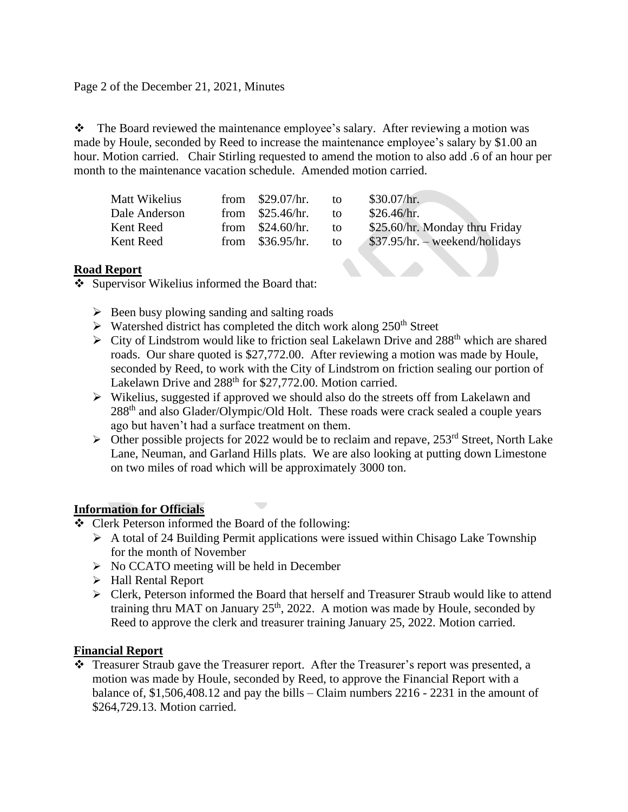Page 2 of the December 21, 2021, Minutes

❖ The Board reviewed the maintenance employee's salary. After reviewing a motion was made by Houle, seconded by Reed to increase the maintenance employee's salary by \$1.00 an hour. Motion carried. Chair Stirling requested to amend the motion to also add .6 of an hour per month to the maintenance vacation schedule. Amended motion carried.

| Matt Wikelius | from $$29.07/hr.$ | to. | \$30.07/hr.                     |
|---------------|-------------------|-----|---------------------------------|
| Dale Anderson | from $$25.46/hr.$ | to. | \$26.46/hr.                     |
| Kent Reed     | from $$24.60/hr.$ | to  | \$25.60/hr. Monday thru Friday  |
| Kent Reed     | from $$36.95/hr.$ | to  | $$37.95/hr. - weekend/holidays$ |

# **Road Report**

❖ Supervisor Wikelius informed the Board that:

- $\triangleright$  Been busy plowing sanding and salting roads
- $\triangleright$  Watershed district has completed the ditch work along 250<sup>th</sup> Street

 $\overline{\phantom{a}}$ 

- $\triangleright$  City of Lindstrom would like to friction seal Lakelawn Drive and 288<sup>th</sup> which are shared roads. Our share quoted is \$27,772.00. After reviewing a motion was made by Houle, seconded by Reed, to work with the City of Lindstrom on friction sealing our portion of Lakelawn Drive and 288<sup>th</sup> for \$27,772.00. Motion carried.
- $\triangleright$  Wikelius, suggested if approved we should also do the streets off from Lakelawn and 288<sup>th</sup> and also Glader/Olympic/Old Holt. These roads were crack sealed a couple years ago but haven't had a surface treatment on them.
- $\triangleright$  Other possible projects for 2022 would be to reclaim and repave, 253<sup>rd</sup> Street, North Lake Lane, Neuman, and Garland Hills plats. We are also looking at putting down Limestone on two miles of road which will be approximately 3000 ton.

# **Information for Officials**

- ❖ Clerk Peterson informed the Board of the following:
	- ➢ A total of 24 Building Permit applications were issued within Chisago Lake Township for the month of November
	- $\triangleright$  No CCATO meeting will be held in December
	- ➢ Hall Rental Report
	- ➢ Clerk, Peterson informed the Board that herself and Treasurer Straub would like to attend training thru MAT on January  $25<sup>th</sup>$ , 2022. A motion was made by Houle, seconded by Reed to approve the clerk and treasurer training January 25, 2022. Motion carried.

# **Financial Report**

❖ Treasurer Straub gave the Treasurer report. After the Treasurer's report was presented, a motion was made by Houle, seconded by Reed, to approve the Financial Report with a balance of, \$1,506,408.12 and pay the bills – Claim numbers 2216 - 2231 in the amount of \$264,729.13. Motion carried.